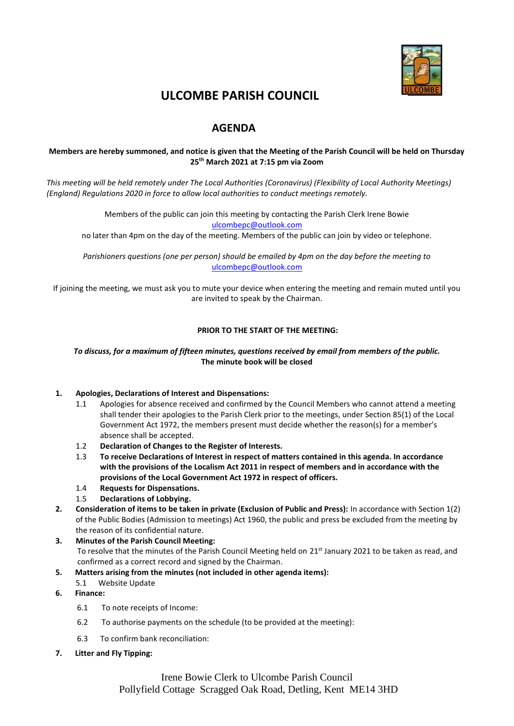

# **ULCOMBE PARISH COUNCIL**

# **AGENDA**

## **Members are hereby summoned, and notice is given that the Meeting of the Parish Council will be held on Thursday 25 th March 2021 at 7:15 pm via Zoom**

*This meeting will be held remotely under The Local Authorities (Coronavirus) (Flexibility of Local Authority Meetings) (England) Regulations 2020 in force to allow local authorities to conduct meetings remotely.*

> Members of the public can join this meeting by contacting the Parish Clerk Irene Bowie [ulcombepc@outlook.com](mailto:ulcombepc@outlook.com)

no later than 4pm on the day of the meeting. Members of the public can join by video or telephone.

*Parishioners questions (one per person) should be emailed by 4pm on the day before the meeting to* [ulcombepc@outlook.com](mailto:ulcombepc@outlook.com)

If joining the meeting, we must ask you to mute your device when entering the meeting and remain muted until you are invited to speak by the Chairman.

#### **PRIOR TO THE START OF THE MEETING:**

#### *To discuss, for a maximum of fifteen minutes, questions received by email from members of the public.* **The minute book will be closed**

#### **1. Apologies, Declarations of Interest and Dispensations:**

- 1.1 Apologies for absence received and confirmed by the Council Members who cannot attend a meeting shall tender their apologies to the Parish Clerk prior to the meetings, under Section 85(1) of the Local Government Act 1972, the members present must decide whether the reason(s) for a member's absence shall be accepted.
- 1.2 **Declaration of Changes to the Register of Interests.**
- 1.3 **To receive Declarations of Interest in respect of matters contained in this agenda. In accordance with the provisions of the Localism Act 2011 in respect of members and in accordance with the provisions of the Local Government Act 1972 in respect of officers.**
- 1.4 **Requests for Dispensations.**
- 1.5 **Declarations of Lobbying.**
- **2. Consideration of items to be taken in private (Exclusion of Public and Press):** In accordance with Section 1(2) of the Public Bodies (Admission to meetings) Act 1960, the public and press be excluded from the meeting by the reason of its confidential nature.
- **3. Minutes of the Parish Council Meeting:**  To resolve that the minutes of the Parish Council Meeting held on 21<sup>st</sup> January 2021 to be taken as read, and confirmed as a correct record and signed by the Chairman.
- **5. Matters arising from the minutes (not included in other agenda items):**
	- 5.1 Website Update
- **6. Finance:**
	- 6.1 To note receipts of Income:
	- 6.2 To authorise payments on the schedule (to be provided at the meeting):
	- 6.3 To confirm bank reconciliation:
- **7. Litter and Fly Tipping:**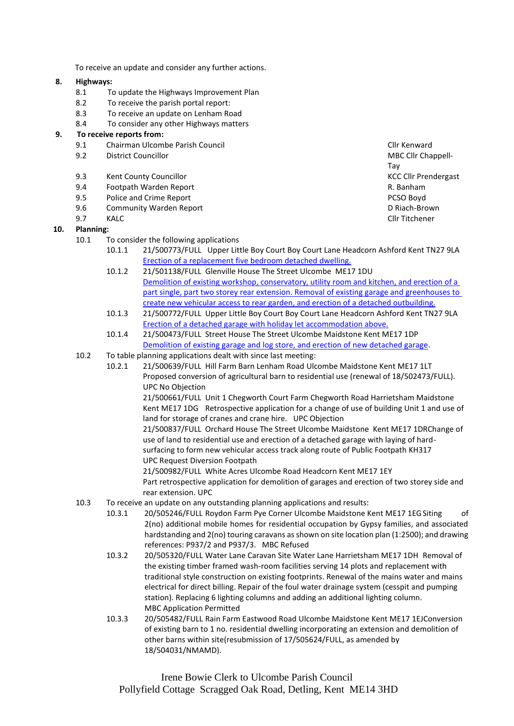To receive an update and consider any further actions.

#### **8. Highways:**

- 8.1 To update the Highways Improvement Plan
- 8.2 To receive the parish portal report:
- 8.3 To receive an update on Lenham Road
- 8.4 To consider any other Highways matters

#### **9. To receive reports from:**

- 9.1 Chairman Ulcombe Parish Council Clinical Club Clinical Clinical Clinical Clinical Clinical Clinical Clinical Clinical Clinical Clinical Clinical Clinical Clinical Clinical Clinical Clinical Clinical Clinical Clinical C
- 9.2 District Councillor **MBC Clir Chappell**-
- 9.3 Kent County Councillor **KCC Clubs** KCC Cllr Prendergast
- 9.4 Footpath Warden Report R. Banham
- 9.5 Police and Crime Report **PCSO Boyd PCSO Boyd**
- 9.6 Community Warden Report **Community Warden Report** Community Warden Report
- 
- **10. Planning:**
	- 10.1 To consider the following applications
		- 10.1.1 21/500773/FULL Upper Little Boy Court Boy Court Lane Headcorn Ashford Kent TN27 9LA [Erection of a replacement five bedroom detached dwelling.](https://pa.midkent.gov.uk/online-applications/applicationDetails.do?activeTab=documents&keyVal=QOK89JTYG7P00)
		- 10.1.2 21/501138/FULL Glenville House The Street Ulcombe ME17 1DU [Demolition of existing workshop, conservatory, utility room and kitchen, and erection of a](https://pa.midkent.gov.uk/online-applications/applicationDetails.do?keyVal=QPCPB1TYIV000&activeTab=summary)  [part single, part two storey rear extension. Removal of existing garage and greenhouses to](https://pa.midkent.gov.uk/online-applications/applicationDetails.do?keyVal=QPCPB1TYIV000&activeTab=summary)  [create new vehicular access to rear garden, and erection of a detached outbuilding.](https://pa.midkent.gov.uk/online-applications/applicationDetails.do?keyVal=QPCPB1TYIV000&activeTab=summary)
		- 10.1.3 21/500772/FULL Upper Little Boy Court Boy Court Lane Headcorn Ashford Kent TN27 9LA [Erection of a detached garage with holiday let accommodation above.](https://pa.midkent.gov.uk/online-applications/applicationDetails.do?activeTab=documents&keyVal=QOK88WTYG7N00)
		- 10.1.4 21/500473/FULL Street House The Street Ulcombe Maidstone Kent ME17 1DP [Demolition of existing garage and log store, and erection of new detached garage.](https://pa.midkent.gov.uk/online-applications/applicationDetails.do?activeTab=documents&keyVal=QNNA5CTYM1C00)
	- 10.2 To table planning applications dealt with since last meeting:
		- 10.2.1 21/500639/FULL Hill Farm Barn Lenham Road Ulcombe Maidstone Kent ME17 1LT Proposed conversion of agricultural barn to residential use (renewal of 18/502473/FULL). UPC No Objection

21/500661/FULL Unit 1 Chegworth Court Farm Chegworth Road Harrietsham Maidstone Kent ME17 1DG Retrospective application for a change of use of building Unit 1 and use of land for storage of cranes and crane hire. UPC Objection

21/500837/FULL Orchard House The Street Ulcombe Maidstone Kent ME17 1DRChange of use of land to residential use and erection of a detached garage with laying of hardsurfacing to form new vehicular access track along route of Public Footpath KH317 UPC Request Diversion Footpath

21/500982/FULL White Acres Ulcombe Road Headcorn Kent ME17 1EY

Part retrospective application for demolition of garages and erection of two storey side and rear extension. UPC

- 10.3 To receive an update on any outstanding planning applications and results:
	- 10.3.1 20/505246/FULL Roydon Farm Pye Corner Ulcombe Maidstone Kent ME17 1EGSiting of 2(no) additional mobile homes for residential occupation by Gypsy families, and associated hardstanding and 2(no) touring caravans as shown on site location plan (1:2500); and drawing references: P937/2 and P937/3. MBC Refused
	- 10.3.2 20/505320/FULL Water Lane Caravan Site Water Lane Harrietsham ME17 1DH Removal of the existing timber framed wash-room facilities serving 14 plots and replacement with traditional style construction on existing footprints. Renewal of the mains water and mains electrical for direct billing. Repair of the foul water drainage system (cesspit and pumping station). Replacing 6 lighting columns and adding an additional lighting column. MBC Application Permitted
	- 10.3.3 20/505482/FULL Rain Farm Eastwood Road Ulcombe Maidstone Kent ME17 1EJConversion of existing barn to 1 no. residential dwelling incorporating an extension and demolition of other barns within site(resubmission of 17/505624/FULL, as amended by 18/504031/NMAMD).

Irene Bowie Clerk to Ulcombe Parish Council Pollyfield Cottage Scragged Oak Road, Detling, Kent ME14 3HD

Tay 9.7 KALC Cllr Titchener